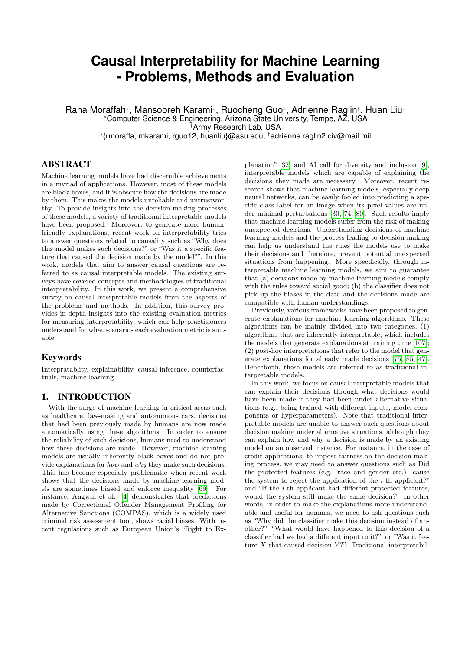# **Causal Interpretability for Machine Learning - Problems, Methods and Evaluation**

Raha Moraffah<sup>∗</sup> , Mansooreh Karami<sup>∗</sup> , Ruocheng Guo<sup>∗</sup> , Adrienne Raglin† , Huan Liu<sup>∗</sup> <sup>∗</sup>Computer Science & Engineering, Arizona State University, Tempe, AZ, USA

†Army Research Lab, USA

∗ {rmoraffa, mkarami, rguo12, huanliu}@asu.edu, †adrienne.raglin2.civ@mail.mil

# ABSTRACT

Machine learning models have had discernible achievements in a myriad of applications. However, most of these models are black-boxes, and it is obscure how the decisions are made by them. This makes the models unreliable and untrustworthy. To provide insights into the decision making processes of these models, a variety of traditional interpretable models have been proposed. Moreover, to generate more humanfriendly explanations, recent work on interpretability tries to answer questions related to causality such as "Why does this model makes such decisions?" or "Was it a specific feature that caused the decision made by the model?". In this work, models that aim to answer causal questions are referred to as causal interpretable models. The existing surveys have covered concepts and methodologies of traditional interpretability. In this work, we present a comprehensive survey on causal interpretable models from the aspects of the problems and methods. In addition, this survey provides in-depth insights into the existing evaluation metrics for measuring interpretability, which can help practitioners understand for what scenarios each evaluation metric is suitable.

### Keywords

Interpratablity, explainability, causal inference, counterfactuals, machine learning

# 1. INTRODUCTION

With the surge of machine learning in critical areas such as healthcare, law-making and autonomous cars, decisions that had been previously made by humans are now made automatically using these algorithms. In order to ensure the reliability of such decisions, humans need to understand how these decisions are made. However, machine learning models are usually inherently black-boxes and do not provide explanations for how and why they make such decisions. This has become especially problematic when recent work shows that the decisions made by machine learning models are sometimes biased and enforce inequality [\[69\]](#page-13-0). For instance, Angwin et al. [\[4\]](#page-11-0) demonstrates that predictions made by Correctional Offender Management Profiling for Alternative Sanctions (COMPAS), which is a widely used criminal risk assessment tool, shows racial biases. With recent regulations such as European Union's "Right to Ex-

planation" [\[32\]](#page-12-0) and AI call for diversity and inclusion [\[9\]](#page-11-1), interpretable models which are capable of explaining the decisions they made are necessary. Moreover, recent research shows that machine learning models, especially deep neural networks, can be easily fooled into predicting a specific class label for an image when its pixel values are under minimal perturbations [\[30,](#page-12-1) [74,](#page-13-1) [80\]](#page-14-0). Such results imply that machine learning models suffer from the risk of making unexpected decisions. Understanding decisions of machine learning models and the process leading to decision making can help us understand the rules the models use to make their decisions and therefore, prevent potential unexpected situations from happening. More specifically, through interpretable machine learning models, we aim to guarantee that (a) decisions made by machine learning models comply with the rules toward social good; (b) the classifier does not pick up the biases in the data and the decisions made are compatible with human understandings.

Previously, various frameworks have been proposed to generate explanations for machine learning algorithms. These algorithms can be mainly divided into two categories, (1) algorithms that are inherently interpretable, which includes the models that generate explanations at training time [\[107\]](#page-14-1); (2) post-hoc interpretations that refer to the model that generate explanations for already made decisions [\[75,](#page-13-2) [85,](#page-14-2) [47\]](#page-13-3). Henceforth, these models are referred to as traditional interpretable models.

In this work, we focus on causal interpretable models that can explain their decisions through what decisions would have been made if they had been under alternative situations (e.g., being trained with different inputs, model components or hyperparameters). Note that traditional interpretable models are unable to answer such questions about decision making under alternative situations, although they can explain how and why a decision is made by an existing model on an observed instance. For instance, in the case of credit applications, to impose fairness on the decision making process, we may need to answer questions such as Did the protected features (e.g., race and gender etc.) cause the system to reject the application of the  $i$ -th applicant?" and "If the i-th applicant had different protected features, would the system still make the same decision?" In other words, in order to make the explanations more understandable and useful for humans, we need to ask questions such as "Why did the classifier make this decision instead of another?", "What would have happened to this decision of a classifier had we had a different input to it?", or "Was it feature  $X$  that caused decision  $Y$ ?". Traditional interpretabil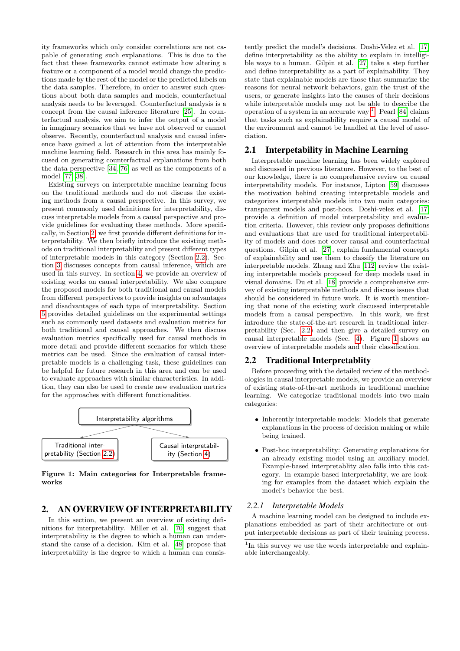ity frameworks which only consider correlations are not capable of generating such explanations. This is due to the fact that these frameworks cannot estimate how altering a feature or a component of a model would change the predictions made by the rest of the model or the predicted labels on the data samples. Therefore, in order to answer such questions about both data samples and models, counterfactual analysis needs to be leveraged. Counterfactual analysis is a concept from the causal inference literature [\[25\]](#page-12-2). In counterfactual analysis, we aim to infer the output of a model in imaginary scenarios that we have not observed or cannot observe. Recently, counterfactual analysis and causal inference have gained a lot of attention from the interpretable machine learning field. Research in this area has mainly focused on generating counterfactual explanations from both the data perspective [\[34,](#page-12-3) [76\]](#page-13-4) as well as the components of a model [\[77,](#page-14-3) [38\]](#page-12-4).

Existing surveys on interpretable machine learning focus on the traditional methods and do not discuss the existing methods from a causal perspective. In this survey, we present commonly used definitions for interpretability, discuss interpretable models from a causal perspective and provide guidelines for evaluating these methods. More specifically, in Section [2,](#page-1-0) we first provide different definitions for interpretability. We then briefly introduce the existing methods on traditional interpretablity and present different types of interpretable models in this category (Section [2.2\)](#page-1-1). Section [3](#page-4-0) discusses concepts from causal inference, which are used in this survey. In section [4,](#page-4-1) we provide an overview of existing works on causal interpretability. We also compare the proposed models for both traditional and causal models from different perspectives to provide insights on advantages and disadvantages of each type of interpretability. Section [5](#page-7-0) provides detailed guidelines on the experimental settings such as commonly used datasets and evaluation metrics for both traditional and causal approaches. We then discuss evaluation metrics specifically used for causal methods in more detail and provide different scenarios for which these metrics can be used. Since the evaluation of causal interpretable models is a challenging task, these guidelines can be helpful for future research in this area and can be used to evaluate approaches with similar characteristics. In addition, they can also be used to create new evaluation metrics for the approaches with different functionalities.



<span id="page-1-3"></span>Figure 1: Main categories for Interpretable frameworks

# <span id="page-1-0"></span>2. AN OVERVIEW OF INTERPRETABILITY

In this section, we present an overview of existing definitions for interpretability. Miller et al. [\[70\]](#page-13-5) suggest that interpretability is the degree to which a human can understand the cause of a decision. Kim et al. [\[48\]](#page-13-6) propose that interpretability is the degree to which a human can consis-

tently predict the model's decisions. Doshi-Velez et al. [\[17\]](#page-12-5) define interpretability as the ability to explain in intelligible ways to a human. Gilpin et al. [\[27\]](#page-12-6) take a step further and define interpretability as a part of explainability. They state that explainable models are those that summarize the reasons for neural network behaviors, gain the trust of the users, or generate insights into the causes of their decisions while interpretable models may not be able to describe the operation of a system in an accurate way<sup>[1](#page-1-2)</sup>. Pearl [\[84\]](#page-14-4) claims that tasks such as explainability require a causal model of the environment and cannot be handled at the level of association.

# 2.1 Interpetability in Machine Learning

Interpretable machine learning has been widely explored and discussed in previous literature. However, to the best of our knowledge, there is no comprehensive review on causal interpretability models. For instance, Lipton [\[59\]](#page-13-7) discusses the motivation behind creating interpretable models and categorizes interpretable models into two main categories: transparent models and post-hocs. Doshi-velez et al. [\[17\]](#page-12-5) provide a definition of model interpretability and evaluation criteria. However, this review only proposes definitions and evaluations that are used for traditional interpretability of models and does not cover causal and counterfactual questions. Gilpin et al. [\[27\]](#page-12-6), explain fundamental concepts of explainability and use them to classify the literature on interpretable models. Zhang and Zhu [\[112\]](#page-15-0) review the existing interpretable models proposed for deep models used in visual domains. Du et al. [\[18\]](#page-12-7) provide a comprehensive survey of existing interpretable methods and discuss issues that should be considered in future work. It is worth mentioning that none of the existing work discussed interpretable models from a causal perspective. In this work, we first introduce the state-of-the-art research in traditional interpretability (Sec. [2.2\)](#page-1-1) and then give a detailed survey on causal interpretable models (Sec. [4\)](#page-4-1). Figure [1](#page-1-3) shows an overview of interpretable models and their classification.

# <span id="page-1-1"></span>2.2 Traditional Interpretablity

Before proceeding with the detailed review of the methodologies in causal interpretable models, we provide an overview of existing state-of-the-art methods in traditional machine learning. We categorize traditional models into two main categories:

- Inherently interpretable models: Models that generate explanations in the process of decision making or while being trained.
- Post-hoc interpretability: Generating explanations for an already existing model using an auxiliary model. Example-based interpretablity also falls into this category. In example-based interpretablity, we are looking for examples from the dataset which explain the model's behavior the best.

#### <span id="page-1-4"></span>*2.2.1 Interpretable Models*

A machine learning model can be designed to include explanations embedded as part of their architecture or output interpretable decisions as part of their training process.

<span id="page-1-2"></span><sup>&</sup>lt;sup>1</sup>In this survey we use the words interpretable and explainable interchangeably.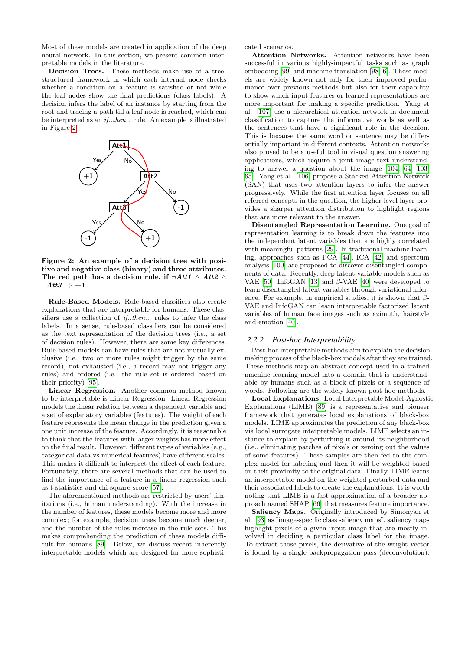Most of these models are created in application of the deep neural network. In this section, we present common interpretable models in the literature.

Decision Trees. These methods make use of a treestructured framework in which each internal node checks whether a condition on a feature is satisfied or not while the leaf nodes show the final predictions (class labels). A decision infers the label of an instance by starting from the root and tracing a path till a leaf node is reached, which can be interpreted as an if..then.. rule. An example is illustrated in Figure [2.](#page-2-0)



<span id="page-2-0"></span>Figure 2: An example of a decision tree with positive and negative class (binary) and three attributes. The red path has a decision rule, if  $\neg Att1 \wedge Att2 \wedge$  $\neg Att3 \Rightarrow +1$ 

Rule-Based Models. Rule-based classifiers also create explanations that are interpretable for humans. These classifiers use a collection of *if..then..* rules to infer the class labels. In a sense, rule-based classifiers can be considered as the text representation of the decision trees (i.e., a set of decision rules). However, there are some key differences. Rule-based models can have rules that are not mutually exclusive (i.e., two or more rules might trigger by the same record), not exhausted (i.e., a record may not trigger any rules) and ordered (i.e., the rule set is ordered based on their priority) [\[95\]](#page-14-5).

Linear Regression. Another common method known to be interpretable is Linear Regression. Linear Regression models the linear relation between a dependent variable and a set of explanatory variables (features). The weight of each feature represents the mean change in the prediction given a one unit increase of the feature. Accordingly, it is reasonable to think that the features with larger weights has more effect on the final result. However, different types of variables (e.g., categorical data vs numerical features) have different scales. This makes it difficult to interpret the effect of each feature. Fortunately, there are several methods that can be used to find the importance of a feature in a linear regression such as t-statistics and chi-square score [\[57\]](#page-13-8).

The aforementioned methods are restricted by users' limitations (i.e., human understanding). With the increase in the number of features, these models become more and more complex; for example, decision trees become much deeper, and the number of the rules increase in the rule sets. This makes comprehending the prediction of these models difficult for humans [\[89\]](#page-14-6). Below, we discuss recent inherently interpretable models which are designed for more sophisticated scenarios.

Attention Networks. Attention networks have been successful in various highly-impactful tasks such as graph embedding [\[99\]](#page-14-7) and machine translation [\[98,](#page-14-8) [6\]](#page-11-2). These models are widely known not only for their improved performance over previous methods but also for their capability to show which input features or learned representations are more important for making a specific prediction. Yang et al. [\[107\]](#page-14-1) use a hierarchical attention network in document classification to capture the informative words as well as the sentences that have a significant role in the decision. This is because the same word or sentence may be differentially important in different contexts. Attention networks also proved to be a useful tool in visual question answering applications, which require a joint image-text understanding to answer a question about the image [\[104,](#page-14-9) [64,](#page-13-9) [103,](#page-14-10) [65\]](#page-13-10). Yang et al. [\[106\]](#page-14-11) propose a Stacked Attention Network (SAN) that uses two attention layers to infer the answer progressively. While the first attention layer focuses on all referred concepts in the question, the higher-level layer provides a sharper attention distribution to highlight regions that are more relevant to the answer.

Disentangled Representation Learning. One goal of representation learning is to break down the features into the independent latent variables that are highly correlated with meaningful patterns [\[29\]](#page-12-8). In traditional machine learning, approaches such as PCA [\[44\]](#page-12-9), ICA [\[42\]](#page-12-10) and spectrum analysis [\[100\]](#page-14-12) are proposed to discover disentangled components of data. Recently, deep latent-variable models such as VAE [\[50\]](#page-13-11), InfoGAN [\[13\]](#page-12-11) and  $\beta$ -VAE [\[40\]](#page-12-12) were developed to learn disentangled latent variables through variational inference. For example, in empirical studies, it is shown that  $\beta$ -VAE and InfoGAN can learn interpretable factorized latent variables of human face images such as azimuth, hairstyle and emotion [\[40\]](#page-12-12).

#### *2.2.2 Post-hoc Interpretability*

Post-hoc interpretable methods aim to explain the decisionmaking process of the black-box models after they are trained. These methods map an abstract concept used in a trained machine learning model into a domain that is understandable by humans such as a block of pixels or a sequence of words. Following are the widely known post-hoc methods.

Local Explanations. Local Interpretable Model-Agnostic Explanations (LIME) [\[89\]](#page-14-6) is a representative and pioneer framework that generates local explanations of black-box models. LIME approximates the prediction of any black-box via local surrogate interpretable models. LIME selects an instance to explain by perturbing it around its neighborhood (i.e., eliminating patches of pixels or zeroing out the values of some features). These samples are then fed to the complex model for labeling and then it will be weighted based on their proximity to the original data. Finally, LIME learns an interpretable model on the weighted perturbed data and their associated labels to create the explanations. It is worth noting that LIME is a fast approximation of a broader approach named SHAP [\[66\]](#page-13-12) that measures feature importance.

Saliency Maps. Originally introduced by Simonyan et al. [\[93\]](#page-14-13) as"image-specific class saliency maps", saliency maps highlight pixels of a given input image that are mostly involved in deciding a particular class label for the image. To extract those pixels, the derivative of the weight vector is found by a single backpropagation pass (deconvolution).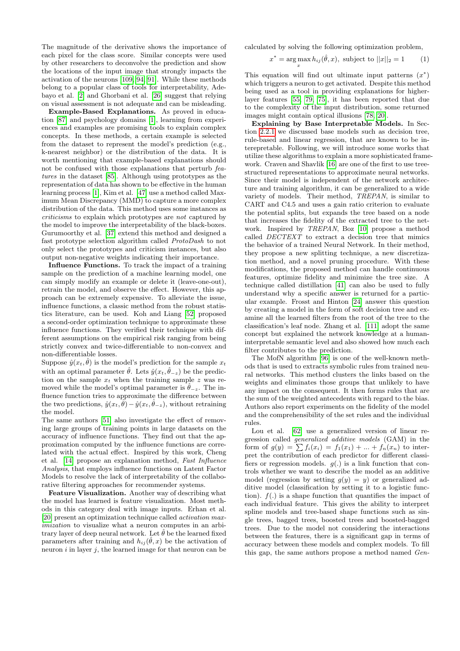The magnitude of the derivative shows the importance of each pixel for the class score. Similar concepts were used by other researchers to deconvolve the prediction and show the locations of the input image that strongly impacts the activation of the neurons [\[109,](#page-14-14) [94,](#page-14-15) [91\]](#page-14-16). While these methods belong to a popular class of tools for interpretability, Adebayo et al. [\[2\]](#page-11-3) and Ghorbani et al. [\[26\]](#page-12-13) suggest that relying on visual assessment is not adequate and can be misleading.

Example-Based Explanations. As proved in education [\[87\]](#page-14-17) and psychology domains [\[1\]](#page-11-4), learning from experiences and examples are promising tools to explain complex concepts. In these methods, a certain example is selected from the dataset to represent the model's prediction (e.g., k-nearest neighbor) or the distribution of the data. It is worth mentioning that example-based explanations should not be confused with those explanations that perturb features in the dataset [\[85\]](#page-14-2). Although using prototypes as the representation of data has shown to be effective in the human learning process [\[1\]](#page-11-4), Kim et al. [\[47\]](#page-13-3) use a method called Maximum Mean Discrepancy (MMD) to capture a more complex distribution of the data. This method uses some instances as criticisms to explain which prototypes are not captured by the model to improve the interpretability of the black-boxes. Gurumoorthy et al. [\[37\]](#page-12-14) extend this method and designed a fast prototype selection algorithm called ProtoDash to not only select the prototypes and criticism instances, but also output non-negative weights indicating their importance.

Influence Functions. To track the impact of a training sample on the prediction of a machine learning model, one can simply modify an example or delete it (leave-one-out), retrain the model, and observe the effect. However, this approach can be extremely expensive. To alleviate the issue, influence functions, a classic method from the robust statistics literature, can be used. Koh and Liang [\[52\]](#page-13-13) proposed a second-order optimization technique to approximate these influence functions. They verified their technique with different assumptions on the empirical risk ranging from being strictly convex and twice-differentiable to non-convex and non-differentiable losses.

Suppose  $\hat{y}(x_t, \hat{\theta})$  is the model's prediction for the sample  $x_t$ with an optimal parameter  $\hat{\theta}$ . Lets  $\hat{y}(x_t, \hat{\theta}_{-z})$  be the prediction on the sample  $x_t$  when the training sample z was removed while the model's optimal parameter is  $\hat{\theta}_{-z}$ . The influence function tries to approximate the difference between the two predictions,  $\hat{y}(x_t, \hat{\theta}) - \hat{y}(x_t, \hat{\theta}_{-z})$ , without retraining the model.

The same authors [\[51\]](#page-13-14) also investigate the effect of removing large groups of training points in large datasets on the accuracy of influence functions. They find out that the approximation computed by the influence functions are correlated with the actual effect. Inspired by this work, Cheng et al. [\[14\]](#page-12-15) propose an explanation method, Fast Influence Analysis, that employs influence functions on Latent Factor Models to resolve the lack of interpretability of the collaborative filtering approaches for recommender systems.

Feature Visualization. Another way of describing what the model has learned is feature visualization. Most methods in this category deal with image inputs. Erhan et al. [\[20\]](#page-12-16) present an optimization technique called activation maximization to visualize what a neuron computes in an arbitrary layer of deep neural network. Let  $\hat{\theta}$  be the learned fixed parameters after training and  $h_{ij}(\hat{\theta},x)$  be the activation of neuron  $i$  in layer  $j$ , the learned image for that neuron can be calculated by solving the following optimization problem,

$$
x^* = \underset{x}{\arg\max} h_{ij}(\hat{\theta}, x), \text{ subject to } ||x||_2 = 1 \qquad (1)
$$

This equation will find out ultimate input patterns  $(x^*)$ which triggers a neuron to get activated. Despite this method being used as a tool in providing explanations for higherlayer features [\[55,](#page-13-15) [79,](#page-14-18) [75\]](#page-13-2), it has been reported that due to the complexity of the input distribution, some returned images might contain optical illusions [\[78,](#page-14-19) [20\]](#page-12-16).

Explaining by Base Interpretable Models. In Section [2.2.1](#page-1-4) we discussed base models such as decision tree, rule-based and linear regression, that are known to be interepretable. Following, we will introduce some works that utilize these algorithms to explain a more sophisticated framework. Craven and Shavlik [\[16\]](#page-12-17) are one of the first to use treestructured representations to approximate neural networks. Since their model is independent of the network architecture and training algorithm, it can be generalized to a wide variety of models. Their method, TREPAN, is similar to CART and C4.5 and uses a gain ratio criterion to evaluate the potential splits, but expands the tree based on a node that increases the fidelity of the extracted tree to the network. Inspired by TREPAN, Boz [\[10\]](#page-11-5) propose a method called DECTEXT to extract a decision tree that mimics the behavior of a trained Neural Network. In their method, they propose a new splitting technique, a new discretization method, and a novel pruning procedure. With these modifications, the proposed method can handle continuous features, optimize fidelity and minimize the tree size. A technique called distillation [\[41\]](#page-12-18) can also be used to fully understand why a specific answer is returned for a particular example. Frosst and Hinton [\[24\]](#page-12-19) answer this question by creating a model in the form of soft decision tree and examine all the learned filters from the root of the tree to the classification's leaf node. Zhang et al. [\[111\]](#page-15-1) adopt the same concept but explained the network knowledge at a humaninterpretable semantic level and also showed how much each filter contributes to the prediction.

The MofN algorithm [\[96\]](#page-14-20) is one of the well-known methods that is used to extracts symbolic rules from trained neural networks. This method clusters the links based on the weights and eliminates those groups that unlikely to have any impact on the consequent. It then forms rules that are the sum of the weighted antecedents with regard to the bias. Authors also report experiments on the fidelity of the model and the comprehensibility of the set rules and the individual rules.

Lou et al. [\[62\]](#page-13-16) use a generalized version of linear regression called generalized additive models (GAM) in the form of  $g(y) = \sum f_i(x_i) = f_1(x_1) + ... + f_n(x_n)$  to interpret the contribution of each predictor for different classifiers or regression models.  $g(.)$  is a link function that controls whether we want to describe the model as an additive model (regression by setting  $q(y) = y$ ) or generalized additive model (classification by setting it to a logistic function).  $f(.)$  is a shape function that quantifies the impact of each individual feature. This gives the ability to interpret spline models and tree-based shape functions such as single trees, bagged trees, boosted trees and boosted-bagged trees. Due to the model not considering the interactions between the features, there is a significant gap in terms of accuracy between these models and complex models. To fill this gap, the same authors propose a method named Gen-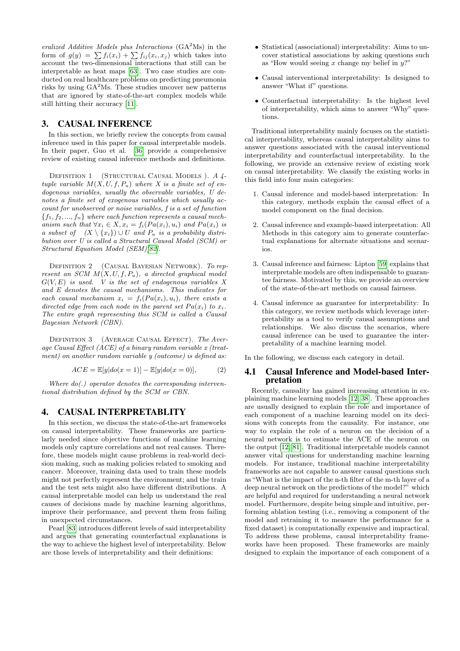eralized Additive Models plus Interactions  $(GA<sup>2</sup>Ms)$  in the form of  $g(y) = \sum f_i(x_i) + \sum f_{ij}(x_i, x_j)$  which takes into account the two-dimensional interactions that still can be interpretable as heat maps [\[63\]](#page-13-17). Two case studies are conducted on real healthcare problems on predicting pneumonia risks by using  $GA<sup>2</sup>Ms$ . These studies uncover new patterns that are ignored by state-of-the-art complex models while still hitting their accuracy [\[11\]](#page-11-6).

# <span id="page-4-0"></span>3. CAUSAL INFERENCE

In this section, we briefly review the concepts from causal inference used in this paper for causal interpretable models. In their paper, Guo et al. [\[36\]](#page-12-20) provide a comprehensive review of existing causal inference methods and definitions.

DEFINITION 1 (STRUCTURAL CAUSAL MODELS). A 4tuple variable  $M(X, U, f, P_u)$  where X is a finite set of endogenous variables, usually the observable variables, U denotes a finite set of exogenous variables which usually account for unobserved or noise variables, f is a set of function  ${f_1, f_2, ..., f_n}$  where each function represents a causal mechanism such that  $\forall x_i \in X, x_i = f_i(Pa(x_i), u_i)$  and  $Pa(x_i)$  is a subset of  $(X \setminus \{x_i\}) \cup U$  and  $P_u$  is a probability distribution over U is called a Structural Causal Model (SCM) or Structural Equation Model (SEM)[\[82\]](#page-14-21).

DEFINITION 2 (CAUSAL BAYESIAN NETWORK). To represent an SCM  $M(X, U, f, P_u)$ , a directed graphical model  $G(V, E)$  is used. V is the set of endogenous variables X and E denotes the causal mechanisms. This indicates for each causal mechanism  $x_i = f_i(Pa(x_i), u_i)$ , there exists a directed edge from each node in the parent set  $Pa(x_i)$  to  $x_i$ . The entire graph representing this SCM is called a Causal Bayesian Network (CBN).

DEFINITION 3 (AVERAGE CAUSAL EFFECT). The Average Causal Effect  $(ACE)$  of a binary random variable x (treatment) on another random variable y (outcome) is defined as:

$$
ACE = \mathbb{E}[y|do(x=1)] - \mathbb{E}[y|do(x=0)], \tag{2}
$$

Where  $do(.)$  operator denotes the corresponding interventional distribution defined by the SCM or CBN.

# <span id="page-4-1"></span>4. CAUSAL INTERPRETABLITY

In this section, we discuss the state-of-the-art frameworks on causal interpretability. These frameworks are particularly needed since objective functions of machine learning models only capture correlations and not real causes. Therefore, these models might cause problems in real-world decision making, such as making policies related to smoking and cancer. Moreover, training data used to train these models might not perfectly represent the environment; and the train and the test sets might also have different distributions. A causal interpretable model can help us understand the real causes of decisions made by machine learning algorithms, improve their performance, and prevent them from failing in unexpected circumstances.

Pearl [\[83\]](#page-14-22) introduces different levels of said interpretability and argues that generating counterfactual explanations is the way to achieve the highest level of interpretability. Below are those levels of interpretability and their definitions:

- Statistical (associational) interpretability: Aims to uncover statistical associations by asking questions such as "How would seeing x change my belief in  $y$ ?"
- Causal interventional interpretability: Is designed to answer "What if" questions.
- Counterfactual interpretability: Is the highest level of interpretability, which aims to answer "Why" questions.

Traditional interpretability mainly focuses on the statistical interpretability, whereas causal interpretability aims to answer questions associated with the causal interventional interpretability and counterfactual interpretability. In the following, we provide an extensive review of existing work on causal interpretability. We classify the existing works in this field into four main categories:

- 1. Causal inference and model-based interpretation: In this category, methods explain the causal effect of a model component on the final decision.
- 2. Causal inference and example-based interpretation: All Methods in this category aim to generate counterfactual explanations for alternate situations and scenarios.
- 3. Causal inference and fairness: Lipton [\[59\]](#page-13-7) explains that interpretable models are often indispensable to guarantee fairness. Motivated by this, we provide an overview of the state-of-the-art methods on causal fairness.
- 4. Causal inference as guarantee for interpretability: In this category, we review methods which leverage interpretability as a tool to verify causal assumptions and relationships. We also discuss the scenarios, where causal inference can be used to guarantee the interpretability of a machine learning model.

In the following, we discuss each category in detail.

#### 4.1 Causal Inference and Model-based Interpretation

Recently, causality has gained increasing attention in explaining machine learning models [\[12,](#page-11-7) [38\]](#page-12-4). These approaches are usually designed to explain the role and importance of each component of a machine learning model on its decisions with concepts from the causality. For instance, one way to explain the role of a neuron on the decision of a neural network is to estimate the ACE of the neuron on the output [\[12,](#page-11-7) [81\]](#page-14-23). Traditional interpretable models cannot answer vital questions for understanding machine learning models. For instance, traditional machine interpretability frameworks are not capable to answer causal questions such as "What is the impact of the n-th filter of the m-th layer of a deep neural network on the predictions of the model?" which are helpful and required for understanding a neural network model. Furthermore, despite being simple and intuitive, performing ablation testing (i.e., removing a component of the model and retraining it to measure the performance for a fixed dataset) is computationally expensive and impractical. To address these problems, causal interpretability frameworks have been proposed. These frameworks are mainly designed to explain the importance of each component of a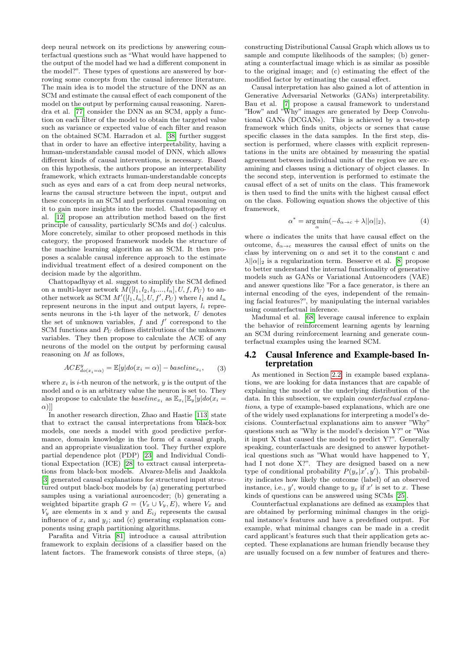deep neural network on its predictions by answering counterfactual questions such as "What would have happened to the output of the model had we had a different component in the model?". These types of questions are answered by borrowing some concepts from the causal inference literature. The main idea is to model the structure of the DNN as an SCM and estimate the causal effect of each component of the model on the output by performing causal reasoning. Narendra et al. [\[77\]](#page-14-3) consider the DNN as an SCM, apply a function on each filter of the model to obtain the targeted value such as variance or expected value of each filter and reason on the obtained SCM. Harradon et al. [\[38\]](#page-12-4) further suggest that in order to have an effective interpretability, having a human-understandable causal model of DNN, which allows different kinds of causal interventions, is necessary. Based on this hypothesis, the authors propose an interpretability framework, which extracts human-understandable concepts such as eyes and ears of a cat from deep neural networks. learns the causal structure between the input, output and these concepts in an SCM and performs causal reasoning on it to gain more insights into the model. Chattopadhyay et al. [\[12\]](#page-11-7) propose an attribution method based on the first principle of causality, particularly SCMs and  $do(·)$  calculus. More concretely, similar to other proposed methods in this category, the proposed framework models the structure of the machine learning algorithm as an SCM. It then proposes a scalable causal inference approach to the estimate individual treatment effect of a desired component on the decision made by the algorithm.

Chattopadhyay et al. suggest to simplify the SCM defined on a multi-layer network  $M([l_1, l_2, l_3, ..., l_n], U, f, P_U)$  to another network as SCM  $M'([l_1, l_n], U, f', P_U)$  where  $l_1$  and  $l_n$ represent neurons in the input and output layers,  $l_i$  represents neurons in the i-th layer of the network, U denotes the set of unknown variables,  $f$  and  $f'$  correspond to the SCM functions and  $P_U$  defines distributions of the unknown variables. They then propose to calculate the ACE of any neurons of the model on the output by performing causal reasoning on M as follows,

$$
ACE_{do(x_i=\alpha)}^y = \mathbb{E}[y|do(x_i=\alpha)] - baseline_{x_i}, \qquad (3)
$$

where  $x_i$  is *i*-th neuron of the network, *y* is the output of the model and  $\alpha$  is an arbitrary value the neuron is set to. They also propose to calculate the *baseline<sub>x<sub>i</sub></sub>* as  $\mathbb{E}_{x_i}[\mathbb{E}_y[y]do(x_i =$  $\alpha$ )]]

In another research direction, Zhao and Hastie [\[113\]](#page-15-2) state that to extract the causal interpretations from black-box models, one needs a model with good predictive performance, domain knowledge in the form of a causal graph, and an appropriate visualization tool. They further explore partial dependence plot (PDP) [\[23\]](#page-12-21) and Individual Conditional Expectation (ICE) [\[28\]](#page-12-22) to extract causal interpretations from black-box models. Alvarez-Melis and Jaakkola [\[3\]](#page-11-8) generated causal explanations for structured input structured output black-box models by (a) generating perturbed samples using a variational auroencoder; (b) generating a weighted bipartite graph  $G = (V_x \cup V_y, E)$ , where  $V_x$  and  $V_y$  are elements in x and y and  $E_{ij}$  represents the causal influence of  $x_i$  and  $y_j$ ; and (c) generating explanation components using graph partitioning algorithms.

Parafita and Vitria [\[81\]](#page-14-23) introduce a causal attribution framework to explain decisions of a classifier based on the latent factors. The framework consists of three steps, (a)

constructing Distributional Causal Graph which allows us to sample and compute likelihoods of the samples; (b) generating a counterfactual image which is as similar as possible to the original image; and (c) estimating the effect of the modified factor by estimating the causal effect.

Causal interpretation has also gained a lot of attention in Generative Adversarial Networks (GANs) interpretability. Bau et al. [\[7\]](#page-11-9) propose a causal framework to understand "How" and "Why" images are generated by Deep Convolutional GANs (DCGANs). This is achieved by a two-step framework which finds units, objects or scenes that cause specific classes in the data samples. In the first step, dissection is performed, where classes with explicit representations in the units are obtained by measuring the spatial agreement between individual units of the region we are examining and classes using a dictionary of object classes. In the second step, intervention is performed to estimate the causal effect of a set of units on the class. This framework is then used to find the units with the highest causal effect on the class. Following equation shows the objective of this framework,

$$
\alpha^* = \underset{\alpha}{\arg\min}(-\delta_{\alpha \to c} + \lambda ||\alpha||_2),\tag{4}
$$

where  $\alpha$  indicates the units that have causal effect on the outcome,  $\delta_{\alpha \to c}$  measures the causal effect of units on the class by intervening on  $\alpha$  and set it to the constant c and  $\lambda ||\alpha||_2$  is a regularization term. Besserve et al. [\[8\]](#page-11-10) propose to better understand the internal functionality of generative models such as GANs or Variational Autoencoders (VAE) and answer questions like "For a face generator, is there an internal encoding of the eyes, independent of the remaining facial features?", by manipulating the internal variables using counterfactual inference.

Madumal et al. [\[68\]](#page-13-18) leverage causal inference to explain the behavior of reinforcement learning agents by learning an SCM during reinforcement learning and generate counterfactual examples using the learned SCM.

## 4.2 Causal Inference and Example-based Interpretation

As mentioned in Section [2.2,](#page-1-1) in example based explanations, we are looking for data instances that are capable of explaining the model or the underlying distribution of the data. In this subsection, we explain *counterfactual explana*tions, a type of example-based explanations, which are one of the widely used explanations for interpreting a model's decisions. Counterfactual explanations aim to answer "Why" questions such as "Why is the model's decision Y?" or "Was it input X that caused the model to predict Y?". Generally speaking, counterfactuals are designed to answer hypothetical questions such as "What would have happened to Y, had I not done X?". They are designed based on a new type of conditional probability  $P(y_x|x', y')$ . This probability indicates how likely the outcome (label) of an observed instance, i.e.,  $y'$ , would change to  $y_x$  if  $x'$  is set to x. These kinds of questions can be answered using SCMs [\[25\]](#page-12-2).

Counterfactual explanations are defined as examples that are obtained by performing minimal changes in the original instance's features and have a predefined output. For example, what minimal changes can be made in a credit card applicant's features such that their application gets accepted. These explanations are human friendly because they are usually focused on a few number of features and there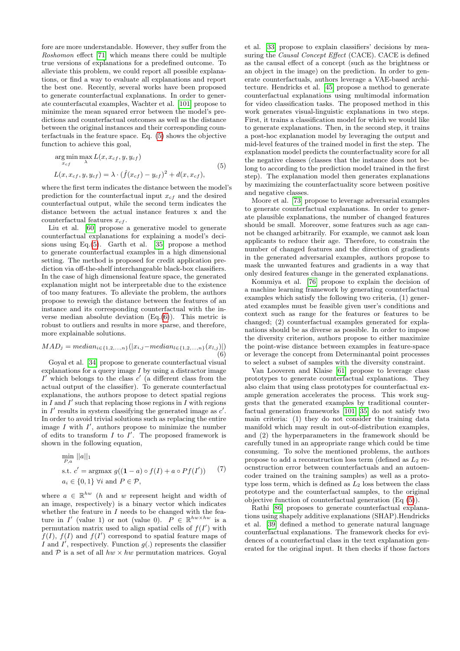fore are more understandable. However, they suffer from the Roshomon effect [\[71\]](#page-13-19) which means there could be multiple true versions of explanations for a predefined outcome. To alleviate this problem, we could report all possible explanations, or find a way to evaluate all explanations and report the best one. Recently, several works have been proposed to generate counterfactual explanations. In order to generate counterfacutal examples, Wachter et al. [\[101\]](#page-14-24) propose to minimize the mean squared error between the model's predictions and counterfactual outcomes as well as the distance between the original instances and their corresponding counterfactuals in the feature space. Eq. [\(5\)](#page-6-0) shows the objective function to achieve this goal,

<span id="page-6-0"></span>
$$
\argmin_{x_{cf}} \max_{\lambda} L(x, x_{cf}, y, y_{cf})
$$
  
\n
$$
L(x, x_{cf}, y, y_{cf}) = \lambda \cdot (\hat{f}(x_{cf}) - y_{cf})^2 + d(x, x_{cf}),
$$
\n(5)

where the first term indicates the distance between the model's prediction for the counterfactual input  $x_{cf}$  and the desired counterfactual output, while the second term indicates the distance between the actual instance features x and the counterfactual features  $x_{cf}$ .

Liu et al. [\[60\]](#page-13-20) propose a generative model to generate counterfactual explanations for explaining a model's decisions using Eq.[\(5\)](#page-6-0). Garth et al. [\[35\]](#page-12-23) propose a method to generate counterfactual examples in a high dimensional setting. The method is proposed for credit application prediction via off-the-shelf interchangeable black-box classifiers. In the case of high dimensional feature space, the generated explanation might not be interpretable due to the existence of too many features. To alleviate the problem, the authors propose to reweigh the distance between the features of an instance and its corresponding counterfactual with the inverse median absolute deviation  $(Eq.(6))$  $(Eq.(6))$  $(Eq.(6))$ . This metric is robust to outliers and results in more sparse, and therefore, more explainable solutions.

<span id="page-6-1"></span>
$$
MAD_j = median_{i \in \{1, 2, ..., n\}}(|x_{i,j} - median_{l \in \{1, 2, ..., n\}}(x_{l,j})|)
$$
\n(6)

Goyal et al. [\[34\]](#page-12-3) propose to generate counterfactual visual explanations for a query image  $I$  by using a distractor image  $I'$  which belongs to the class  $c'$  (a different class from the actual output of the classifier). To generate counterfactual explanations, the authors propose to detect spatial regions in  $I$  and  $I'$  such that replacing those regions in  $I$  with regions in  $I'$  results in system classifying the generated image as  $c'$ . In order to avoid trivial solutions such as replacing the entire image  $I$  with  $I'$ , authors propose to minimize the number of edits to transform  $I$  to  $I'$ . The proposed framework is shown in the following equation,

$$
\min_{P,a} ||a||_1
$$
\n
$$
\text{s.t. } c' = \operatorname{argmax} g((1-a) \circ f(I) + a \circ Pf(I')) \qquad (7)
$$
\n
$$
a_i \in \{0,1\} \,\forall i \text{ and } P \in \mathcal{P},
$$

where  $a \in \mathbb{R}^{hw}$  (*h* and *w* represent height and width of an image, respectively) is a binary vector which indicates whether the feature in  $I$  needs to be changed with the feature in I' (value 1) or not (value 0).  $P \in \mathbb{R}^{hw \times hw}$  is a permutation matrix used to align spatial cells of  $f(I')$  with  $f(I), f(I)$  and  $f(I')$  correspond to spatial feature maps of I and I', respectively. Function  $g(.)$  represents the classifier and  $P$  is a set of all  $hw \times hw$  permutation matrices. Goyal et al. [\[33\]](#page-12-24) propose to explain classifiers' decisions by measuring the *Causal Concept Effect* (CACE). CACE is defined as the causal effect of a concept (such as the brightness or an object in the image) on the prediction. In order to generate counterfactuals, authors leverage a VAE-based architecture. Hendricks et al. [\[45\]](#page-12-25) propose a method to generate counterfactual explanations using multimodal information for video classification tasks. The proposed method in this work generates visual-linguistic explanations in two steps. First, it trains a classification model for which we would like to generate explanations. Then, in the second step, it trains a post-hoc explanation model by leveraging the output and mid-level features of the trained model in first the step. The explanation model predicts the counterfactuality score for all the negative classes (classes that the instance does not belong to according to the prediction model trained in the first step). The explanation model then generates explanations by maximizing the counterfactuality score between positive and negative classes.

Moore et al. [\[73\]](#page-13-21) propose to leverage adversarial examples to generate counterfactual explanations. In order to generate plausible explanations, the number of changed features should be small. Moreover, some features such as age cannot be changed arbitrarily. For example, we cannot ask loan applicants to reduce their age. Therefore, to constrain the number of changed features and the direction of gradients in the generated adversarial examples, authors propose to mask the unwanted features and gradients in a way that only desired features change in the generated explanations.

Kommiya et al. [\[76\]](#page-13-4) propose to explain the decision of a machine learning framework by generating counterfactual examples which satisfy the following two criteria, (1) generated examples must be feasible given user's conditions and context such as range for the features or features to be changed; (2) counterfactual examples generated for explanations should be as diverse as possible. In order to impose the diversity criterion, authors propose to either maximize the point-wise distance between examples in feature-space or leverage the concept from Determinantal point processes to select a subset of samples with the diversity constraint.

Van Looveren and Klaise [\[61\]](#page-13-22) propose to leverage class prototypes to generate counterfactual explanations. They also claim that using class prototypes for counterfactual example generation accelerates the process. This work suggests that the generated examples by traditional counterfactual generation frameworks [\[101,](#page-14-24) [35\]](#page-12-23) do not satisfy two main criteria: (1) they do not consider the training data manifold which may result in out-of-distribution examples, and (2) the hyperparameters in the framework should be carefully tuned in an appropriate range which could be time consuming. To solve the mentioned problems, the authors propose to add a reconstruction loss term (defined as  $L_2$  reocnstruction error between counterfactuals and an autoencoder trained on the training samples) as well as a prototype loss term, which is defined as  $L_2$  loss between the class prototype and the counterfactual samples, to the original objective function of counterfactual generation (Eq [\(5\)](#page-6-0)).

Rathi [\[86\]](#page-14-25) proposes to generate counterfactual explanations using shapely additive explanations (SHAP).Hendricks et al. [\[39\]](#page-12-26) defined a method to generate natural language counterfactual explanations. The framework checks for evidences of a counterfactual class in the text explanation generated for the original input. It then checks if those factors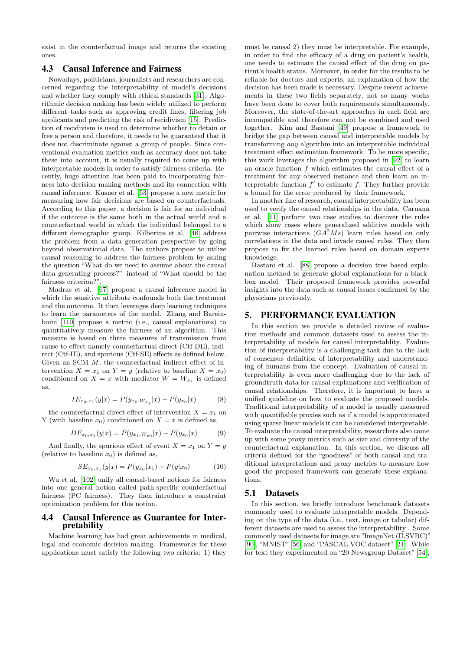exist in the counterfactual image and returns the existing ones.

### <span id="page-7-1"></span>4.3 Causal Inference and Fairness

Nowadays, politicians, journalists and researchers are concerned regarding the interpretability of model's decisions and whether they comply with ethical standards [\[31\]](#page-12-27). Algorithmic decision making has been widely utilized to perform different tasks such as approving credit lines, filtering job applicants and predicting the risk of recidivism [\[15\]](#page-12-28). Prediction of recidivism is used to determine whether to detain or free a person and therefore, it needs to be guaranteed that it does not discriminate against a group of people. Since conventional evaluation metrics such as accuracy does not take these into account, it is usually required to come up with interpretable models in order to satisfy fairness criteria. Recently, huge attention has been paid to incorporating fairness into decision making methods and its connection with causal inference. Kusner et al. [\[53\]](#page-13-23) propose a new metric for measuring how fair decisions are based on counterfactuals. According to this paper, a decision is fair for an individual if the outcome is the same both in the actual world and a counterfactual world in which the individual belonged to a different demographic group. Kilbertus et al. [\[46\]](#page-13-24) address the problem from a data generation perspective by going beyond observational data. The authors propose to utilize causal reasoning to address the fairness problem by asking the question "What do we need to assume about the causal data generating process?" instead of "What should be the fairness criterion?".

Madras et al. [\[67\]](#page-13-25) propose a causal inference model in which the sensitive attribute confounds both the treatment and the outcome. It then leverages deep learning techniques to learn the parameters of the model. Zhang and Bareinboim [\[110\]](#page-15-3) propose a metric (i.e., causal explanations) to quantitatively measure the fairness of an algorithm. This measure is based on three measures of transmission from cause to effect namely counterfactual direct (Ctf-DE), indirect (Ctf-IE), and spurious (Ctf-SE) effects as defined below. Given an SCM M, the counterfactual indirect effect of intervention  $X = x_1$  on  $Y = y$  (relative to baseline  $X = x_0$ ) conditioned on  $X = x$  with mediator  $W = W_{x_1}$  is defined as,

$$
IE_{x_0,x_1}(y|x) = P(y_{x_0,W_{x_1}}|x) - P(y_{x_0}|x)
$$
 (8)

the counterfactual direct effect of intervention  $X = x_1$  on Y (with baseline  $x_0$ ) conditioned on  $X = x$  is defined as,

$$
DE_{x_0,x_1}(y|x) = P(y_{x_1,W_{x_0}}|x) - P(y_{x_0}|x)
$$
 (9)

And finally, the spurious effect of event  $X = x_1$  on  $Y = y$ (relative to baseline  $x_0$ ) is defined as,

$$
SE_{x_0, x_1}(y|x) = P(y_{x_0}|x_1) - P(y|x_0)
$$
 (10)

Wu et al. [\[102\]](#page-14-26) unify all causal-based notions for fairness into one general notion called path-specific counterfactual fairness (PC fairness). They then introduce a constraint optimization problem for this notion.

### 4.4 Causal Inference as Guarantee for Interpretability

Machine learning has had great achievements in medical, legal and economic decision making. Frameworks for these applications must satisfy the following two criteria: 1) they

must be causal 2) they must be interpretable. For example, in order to find the efficacy of a drug on patient's health, one needs to estimate the causal effect of the drug on patient's health status. Moreover, in order for the results to be reliable for doctors and experts, an explanation of how the decision has been made is necessary. Despite recent achievements in these two fields separately, not so many works have been done to cover both requirements simultaneously. Moreover, the state-of-the-art approaches in each field are incompatible and therefore can not be combined and used together. Kim and Bastani [\[49\]](#page-13-26) propose a framework to bridge the gap between causal and interpretable models by transforming any algorithm into an interpretable individual treatment effect estimation framework. To be more specific, this work leverages the algorithm proposed in [\[92\]](#page-14-27) to learn an oracle function f which estimates the causal effect of a treatment for any observed instance and then learn an interpretable function  $f'$  to estimate f. They further provide a bound for the error produced by their framework.

In another line of research, causal interpretability has been used to verify the causal relationships in the data. Caruana et al. [\[11\]](#page-11-6) perform two case studies to discover the rules which show cases where generalized additive models with pairwise interactions  $(GA^2Ms)$  learn rules based on only correlations in the data and invade causal rules. They then propose to fix the learned rules based on domain experts knowledge.

Bastani et al. [\[88\]](#page-14-28) propose a decision tree based explanation method to generate global explanations for a blackbox model. Their proposed framework provides powerful insights into the data such as causal issues confirmed by the physicians previously.

### <span id="page-7-0"></span>5. PERFORMANCE EVALUATION

In this section we provide a detailed review of evaluation methods and common datasets used to assess the interpretability of models for causal interpretablity. Evaluation of interpretability is a challenging task due to the lack of consensus definition of interpretability and understanding of humans from the concept. Evaluation of causal interpretability is even more challenging due to the lack of groundtruth data for causal explanations and verification of causal relationships. Therefore, it is important to have a unified guideline on how to evaluate the proposed models. Traditional interpretability of a model is usually measured with quantifiable proxies such as if a model is approximated using sparse linear models it can be considered interpretable. To evaluate the causal interpretability, researchers also came up with some proxy metrics such as size and diversity of the counterfactual explanation. In this section, we discuss all criteria defined for the "goodness" of both causal and traditional interpretations and proxy metrics to measure how good the proposed framework can generate these explanations.

#### 5.1 Datasets

In this section, we briefly introduce benchmark datasets commonly used to evaluate interpretable models. Depending on the type of the data (i.e., text, image or tabular) different datasets are used to assess the interpretability . Some commonly used datasets for image are "ImageNet (ILSVRC)" [\[90\]](#page-14-29), "MNIST" [\[56\]](#page-13-27) and "PASCAL VOC dataset" [\[21\]](#page-12-29). While for text they experimented on "20 Newsgroup Dataset" [\[54\]](#page-13-28),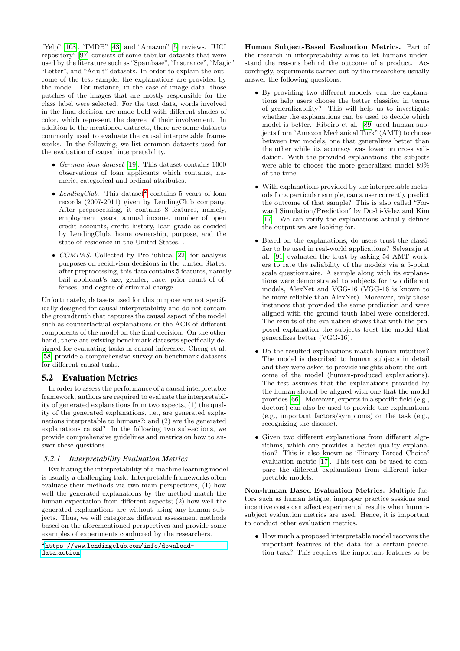"Yelp" [\[108\]](#page-14-30), "IMDB" [\[43\]](#page-12-30) and "Amazon" [\[5\]](#page-11-11) reviews. "UCI repository" [\[97\]](#page-14-31) consists of some tabular datasets that were used by the literature such as "Spambase", "Insurance", "Magic", "Letter", and "Adult" datasets. In order to explain the outcome of the test sample, the explanations are provided by the model. For instance, in the case of image data, those patches of the images that are mostly responsible for the class label were selected. For the text data, words involved in the final decision are made bold with different shades of color, which represent the degree of their involvement. In addition to the mentioned datasets, there are some datasets commonly used to evaluate the causal interpretable frameworks. In the following, we list common datasets used for the evaluation of causal interpretability.

- German loan dataset [\[19\]](#page-12-31). This dataset contains 1000 observations of loan applicants which contains, numeric, categorical and ordinal attributes.
- LendingClub. This dataset<sup>[2](#page-8-0)</sup> contains 5 years of loan records (2007-2011) given by LendingClub company. After preprocessing, it contains 8 features, namely, employment years, annual income, number of open credit accounts, credit history, loan grade as decided by LendingClub, home ownership, purpose, and the state of residence in the United States. .
- *COMPAS*. Collected by ProPublica [\[22\]](#page-12-32) for analysis purposes on recidivism decisions in the United States, after preprocessing, this data contains 5 features, namely, bail applicant's age, gender, race, prior count of offenses, and degree of criminal charge.

Unfortunately, datasets used for this purpose are not specifically designed for causal interpretability and do not contain the groundtruth that captures the causal aspect of the model such as counterfactual explanations or the ACE of different components of the model on the final decision. On the other hand, there are existing benchmark datasets specifically designed for evaluating tasks in causal inference. Cheng et al. [\[58\]](#page-13-29) provide a comprehensive survey on benchmark datasets for different causal tasks.

# 5.2 Evaluation Metrics

In order to assess the performance of a causal interpretable framework, authors are required to evaluate the interpretability of generated explanations from two aspects, (1) the quality of the generated explanations, i.e., are generated explanations interpretable to humans?; and (2) are the generated explanations causal? In the following two subsections, we provide comprehensive guidelines and metrics on how to answer these questions.

### *5.2.1 Interpretability Evaluation Metrics*

Evaluating the interpretability of a machine learning model is usually a challenging task. Interpretable frameworks often evaluate their methods via two main perspectives, (1) how well the generated explanations by the method match the human expectation from different aspects; (2) how well the generated explanations are without using any human subjects. Thus, we will categorize different assessment methods based on the aforementioned perspectives and provide some examples of experiments conducted by the researchers.

Human Subject-Based Evaluation Metrics. Part of the research in interpretability aims to let humans understand the reasons behind the outcome of a product. Accordingly, experiments carried out by the researchers usually answer the following questions:

- By providing two different models, can the explanations help users choose the better classifier in terms of generalizability? This will help us to investigate whether the explanations can be used to decide which model is better. Ribeiro et al. [\[89\]](#page-14-6) used human subjects from"Amazon Mechanical Turk" (AMT) to choose between two models, one that generalizes better than the other while its accuracy was lower on cross validation. With the provided explanations, the subjects were able to choose the more generalized model 89% of the time.
- With explanations provided by the interpretable methods for a particular sample, can a user correctly predict the outcome of that sample? This is also called "Forward Simulation/Prediction" by Doshi-Velez and Kim [\[17\]](#page-12-5). We can verify the explanations actually defines the output we are looking for.
- Based on the explanations, do users trust the classifier to be used in real-world applications? Selvaraju et al. [\[91\]](#page-14-16) evaluated the trust by asking 54 AMT workers to rate the reliability of the models via a 5-point scale questionnaire. A sample along with its explanations were demonstrated to subjects for two different models, AlexNet and VGG-16 (VGG-16 is known to be more reliable than AlexNet). Moreover, only those instances that provided the same prediction and were aligned with the ground truth label were considered. The results of the evaluation shows that with the proposed explanation the subjects trust the model that generalizes better (VGG-16).
- Do the resulted explanations match human intuition? The model is described to human subjects in detail and they were asked to provide insights about the outcome of the model (human-produced explanations). The test assumes that the explanations provided by the human should be aligned with one that the model provides [\[66\]](#page-13-12). Moreover, experts in a specific field (e.g., doctors) can also be used to provide the explanations (e.g., important factors/symptoms) on the task (e.g., recognizing the disease).
- Given two different explanations from different algorithms, which one provides a better quality explanation? This is also known as "Binary Forced Choice" evaluation metric [\[17\]](#page-12-5). This test can be used to compare the different explanations from different interpretable models.

Non-human Based Evaluation Metrics. Multiple factors such as human fatigue, improper practice sessions and incentive costs can affect experimental results when humansubject evaluation metrics are used. Hence, it is important to conduct other evaluation metrics.

• How much a proposed interpretable model recovers the important features of the data for a certain prediction task? This requires the important features to be

<span id="page-8-0"></span> $^{2}$ https://www.lendingclub.[com/info/download](https://www.lendingclub.com/info/download-data.action)data.[action](https://www.lendingclub.com/info/download-data.action)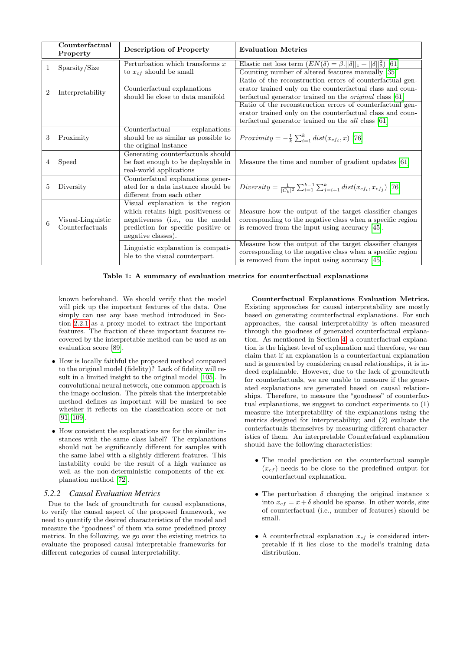|                | Counterfactual<br>Property           | <b>Description of Property</b>                                                                                                                                          | <b>Evaluation Metrics</b>                                                                                                                                                                                                                                                                                                                                                       |
|----------------|--------------------------------------|-------------------------------------------------------------------------------------------------------------------------------------------------------------------------|---------------------------------------------------------------------------------------------------------------------------------------------------------------------------------------------------------------------------------------------------------------------------------------------------------------------------------------------------------------------------------|
| 1              | Sparsity/Size                        | Perturbation which transforms $x$<br>to $x_{cf}$ should be small                                                                                                        | Elastic net loss term $(EN(\delta) = \beta.   \delta  _1 +   \delta  _2^2)$ [61]<br>Counting number of altered features manually [35]                                                                                                                                                                                                                                           |
| $\overline{2}$ | Interpretability                     | Counterfactual explanations<br>should lie close to data manifold                                                                                                        | Ratio of the reconstruction errors of counterfactual gen-<br>erator trained only on the counterfactual class and coun-<br>terfactual generator trained on the <i>original</i> class [61]<br>Ratio of the reconstruction errors of counterfactual gen-<br>erator trained only on the counterfactual class and coun-<br>terfactual generator trained on the <i>all</i> class [61] |
| 3              | Proximity                            | Counterfactual<br>explanations<br>should be as similar as possible to<br>the original instance                                                                          | <i>Proximity</i> = $-\frac{1}{k}\sum_{i=1}^{k} dist(x_{cf_i}, x)$ [76]                                                                                                                                                                                                                                                                                                          |
| 4              | Speed                                | Generating counterfactuals should<br>be fast enough to be deployable in<br>real-world applications                                                                      | Measure the time and number of gradient updates [61]                                                                                                                                                                                                                                                                                                                            |
| 5              | Diversity                            | Counterfatual explanations gener-<br>ated for a data instance should be<br>different from each other                                                                    | Diversity = $\frac{1}{ C_k ^2} \sum_{i=1}^{k-1} \sum_{j=i+1}^{k} dist(x_{cf_i}, x_{cf_j})$ [76]                                                                                                                                                                                                                                                                                 |
| 6              | Visual-Linguistic<br>Counterfactuals | Visual explanation is the region<br>which retains high positiveness or<br>negativeness (i.e., on the model<br>prediction for specific positive or<br>negative classes). | Measure how the output of the target classifier changes<br>corresponding to the negative class when a specific region<br>is removed from the input using accuracy $[45]$ .                                                                                                                                                                                                      |
|                |                                      | Linguistic explanation is compati-<br>ble to the visual counterpart.                                                                                                    | Measure how the output of the target classifier changes<br>corresponding to the negative class when a specific region<br>is removed from the input using accuracy $[45]$ .                                                                                                                                                                                                      |

<span id="page-9-0"></span>Table 1: A summary of evaluation metrics for counterfactual explanations

known beforehand. We should verify that the model will pick up the important features of the data. One simply can use any base method introduced in Section [2.2.1](#page-1-4) as a proxy model to extract the important features. The fraction of these important features recovered by the interpretable method can be used as an evaluation score [\[89\]](#page-14-6).

- How is locally faithful the proposed method compared to the original model (fidelity)? Lack of fidelity will result in a limited insight to the original model [\[105\]](#page-14-32). In convolutional neural network, one common approach is the image occlusion. The pixels that the interpretable method defines as important will be masked to see whether it reflects on the classification score or not [\[91,](#page-14-16) [109\]](#page-14-14).
- How consistent the explanations are for the similar instances with the same class label? The explanations should not be significantly different for samples with the same label with a slightly different features. This instability could be the result of a high variance as well as the non-deterministic components of the explanation method [\[72\]](#page-13-30).

### *5.2.2 Causal Evaluation Metrics*

Due to the lack of groundtruth for causal explanations, to verify the causal aspect of the proposed framework, we need to quantify the desired characteristics of the model and measure the "goodness" of them via some predefined proxy metrics. In the following, we go over the existing metrics to evaluate the proposed causal interpretable frameworks for different categories of causal interpretability.

Counterfactual Explanations Evaluation Metrics. Existing approaches for causal interpretability are mostly based on generating counterfactual explanations. For such approaches, the causal interpretability is often measured through the goodness of generated counterfactual explanation. As mentioned in Section [4,](#page-4-1) a counterfactual explanation is the highest level of explanation and therefore, we can claim that if an explanation is a counterfactual explanation and is generated by considering causal relationships, it is indeed explainable. However, due to the lack of groundtruth for counterfactuals, we are unable to measure if the generated explanations are generated based on causal relationships. Therefore, to measure the "goodness" of counterfactual explanations, we suggest to conduct experiments to (1) measure the interpretability of the explanations using the metrics designed for interpretability; and (2) evaluate the conterfactuals themselves by measuring different characteristics of them. An interpretable Counterfatual explanation should have the following characteristics:

- The model prediction on the counterfactual sample  $(x<sub>cf</sub>)$  needs to be close to the predefined output for counterfactual explanation.
- The perturbation  $\delta$  changing the original instance x into  $x_{cf} = x + \delta$  should be sparse. In other words, size of counterfactual (i.e., number of features) should be small.
- A counterfactual explanation  $x_{cf}$  is considered interpretable if it lies close to the model's training data distribution.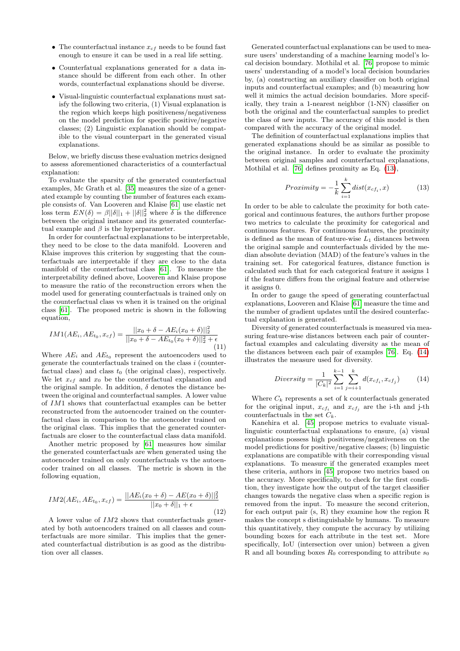- The counterfactual instance  $x_{cf}$  needs to be found fast enough to ensure it can be used in a real life setting.
- Counterfatual explanations generated for a data instance should be different from each other. In other words, counterfactual explanations should be diverse.
- Visual-linguistic counterfactual explanations must satisfy the following two criteria, (1) Visual explanation is the region which keeps high positiveness/negativeness on the model prediction for specific positive/negative classes; (2) Linguistic explanation should be compatible to the visual counterpart in the generated visual explanations.

Below, we briefly discuss these evaluation metrics designed to assess aforementioned characteristics of a counterfactual explanation:

To evaluate the sparsity of the generated counterfactual examples, Mc Grath et al. [\[35\]](#page-12-23) measures the size of a generated example by counting the number of features each example consists of. Van Looveren and Klaise [\[61\]](#page-13-22) use elastic net loss term  $EN(\delta) = \beta ||\delta||_1 + ||\delta||_2^2$  where  $\delta$  is the difference between the original instance and its generated counterfactual example and  $β$  is the hyperparameter.

In order for counterfactual explanations to be interpretable, they need to be close to the data manifold. Looveren and Klaise improves this criterion by suggesting that the counterfactuals are interpretable if they are close to the data manifold of the counterfactual class [\[61\]](#page-13-22). To measure the interpretability defined above, Looveren and Klaise propose to measure the ratio of the reconstruction errors when the model used for generating counterfactuals is trained only on the counterfactual class vs when it is trained on the original class [\[61\]](#page-13-22). The proposed metric is shown in the following equation,

$$
IM1(AE_i, AE_{t_0}, x_{cf}) = \frac{||x_0 + \delta - AE_i(x_0 + \delta)||_2^2}{||x_0 + \delta - AE_{t_0}(x_0 + \delta)||_2^2 + \epsilon}
$$
(11)

Where  $AE_i$  and  $AE_{t_0}$  represent the autoencoders used to generate the counterfactuals trained on the class  $i$  (counterfactual class) and class  $t_0$  (the original class), respectively. We let  $x_{cf}$  and  $x_0$  be the counterfactual explanation and the original sample. In addition,  $\delta$  denotes the distance between the original and counterfactual samples. A lower value of IM1 shows that counterfactual examples can be better reconstructed from the autoencoder trained on the counterfactual class in comparison to the autoencoder trained on the original class. This implies that the generated counterfactuals are closer to the counterfactual class data manifold.

Another metric proposed by [\[61\]](#page-13-22) measures how similar the generated counterfactuals are when generated using the autoencoder trained on only counterfactuals vs the autoencoder trained on all classes. The metric is shown in the following equation,

$$
IM2(AE_i, AE_{t_0}, x_{cf}) = \frac{||AE_i(x_0 + \delta) - AE(x_0 + \delta)||_2^2}{||x_0 + \delta||_1 + \epsilon}
$$
(12)

A lower value of IM2 shows that counterfactuals generated by both autoencoders trained on all classes and counterfactuals are more similar. This implies that the generated counterfactual distribution is as good as the distribution over all classes.

Generated counterfactual explanations can be used to measure users' understanding of a machine learning model's local decision boundary. Mothilal et al. [\[76\]](#page-13-4) propose to mimic users' understanding of a model's local decision boundaries by, (a) constructing an auxiliary classifier on both original inputs and counterfactual examples; and (b) measuring how well it mimics the actual decision boundaries. More specifically, they train a 1-nearest neighbor (1-NN) classifier on both the original and the counterfactual samples to predict the class of new inputs. The accuracy of this model is then compared with the accuracy of the original model.

The definition of counterfactual explanations implies that generated explanations should be as similar as possible to the original instance. In order to evaluate the proximity between original samples and counterfactual explanations, Mothilal et al. [\[76\]](#page-13-4) defines proximity as Eq. [\(13\)](#page-10-0),

$$
Proximity = -\frac{1}{k} \sum_{i=1}^{k} dist(x_{cf_i}, x)
$$
\n(13)

<span id="page-10-0"></span>In order to be able to calculate the proximity for both categorical and continuous features, the authors further propose two metrics to calculate the proximity for categorical and continuous features. For continuous features, the proximity is defined as the mean of feature-wise  $L_1$  distances between the original sample and counterfactuals divided by the median absolute deviation (MAD) of the feature's values in the training set. For categorical features, distance function is calculated such that for each categorical feature it assigns 1 if the feature differs from the original feature and otherwise it assigns 0.

In order to gauge the speed of generating counterfactual explanations, Looveren and Klaise [\[61\]](#page-13-22) measure the time and the number of gradient updates until the desired counterfactual explanation is generated.

Diversity of generated counterfactuals is measured via measuring feature-wise distances between each pair of counterfactual examples and calculating diversity as the mean of the distances between each pair of examples [\[76\]](#page-13-4). Eq. [\(14\)](#page-10-1) illustrates the measure used for diversity.

<span id="page-10-1"></span>
$$
Diversity = \frac{1}{|C_k|^2} \sum_{i=1}^{k-1} \sum_{j=i+1}^{k} d(x_{cf_i}, x_{cf_j})
$$
(14)

Where  $C_k$  represents a set of k counterfactuals generated for the original input,  $x_{cf_i}$  and  $x_{cf_j}$  are the i-th and j-th counterfactuals in the set  $C_k$ .

Kanehira et al. [\[45\]](#page-12-25) propose metrics to evaluate visuallinguistic counterfactual explanations to ensure, (a) visual explanations possess high positiveness/negativeness on the model predictions for positive/negative classes; (b) linguistic explanations are compatible with their corresponding visual explanations. To measure if the generated examples meet these criteria, authors in [\[45\]](#page-12-25) propose two metrics based on the accuracy. More specifically, to check for the first condition, they investigate how the output of the target classifier changes towards the negative class when a specific region is removed from the input. To measure the second criterion, for each output pair (s, R) they examine how the region R makes the concept s distinguishable by humans. To measure this quantitatively, they compute the accuracy by utilizing bounding boxes for each attribute in the test set. More specifically, IoU (intersection over union) between a given R and all bounding boxes  $R_0$  corresponding to attribute  $s_0$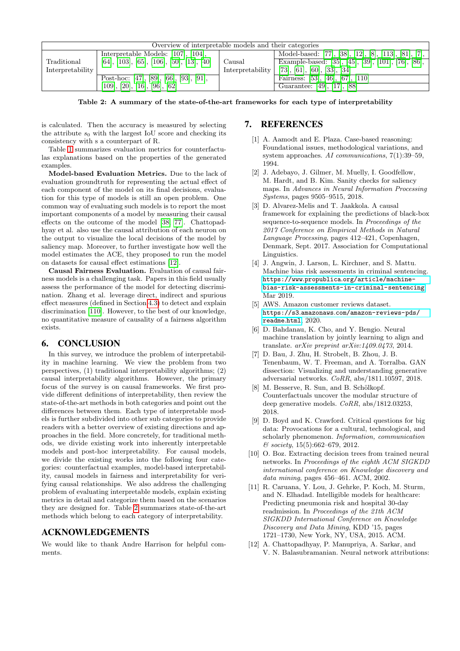| Overview of interpretable models and their categories |                                              |                  |                                                       |  |  |  |
|-------------------------------------------------------|----------------------------------------------|------------------|-------------------------------------------------------|--|--|--|
|                                                       | Interpretable Models: [107], [104],          |                  | Model-based: [77], [38], [12], [8], [113], [81], [7], |  |  |  |
| Traditional                                           | $[64], [103], [65], [106], [50], [13], [40]$ | Causal           | Example-based: [35], [45], [39], [101], [76], [86],   |  |  |  |
| Interpretability                                      |                                              | Interpretability | [73], [61], [60], [33], [34]                          |  |  |  |
|                                                       | Post-hoc: [47], [89], [66], [93], [91],      |                  | Fairness: $[53]$ , $[46]$ , $[67]$ , $[110]$          |  |  |  |
|                                                       | [109], [20], [16], [96], [62]                |                  | Guarantee: [49], [17], [88]                           |  |  |  |

<span id="page-11-12"></span>Table 2: A summary of the state-of-the-art frameworks for each type of interpretability

is calculated. Then the accuracy is measured by selecting the attribute  $s_0$  with the largest IoU score and checking its consistency with s a counterpart of R.

Table [1](#page-9-0) summarizes evaluation metrics for counterfactulas explanations based on the properties of the generated examples.

Model-based Evaluation Metrics. Due to the lack of evaluation groundtruth for representing the actual effect of each component of the model on its final decisions, evaluation for this type of models is still an open problem. One common way of evaluating such models is to report the most important components of a model by measuring their causal effects on the outcome of the model [\[38,](#page-12-4) [77\]](#page-14-3). Chattopadhyay et al. also use the causal attribution of each neuron on the output to visualize the local decisions of the model by saliency map. Moreover, to further investigate how well the model estimates the ACE, they proposed to run the model on datasets for causal effect estimations [\[12\]](#page-11-7).

Causal Fairness Evaluation. Evaluation of causal fairness models is a challenging task. Papers in this field usually assess the performance of the model for detecting discrimination. Zhang et al. leverage direct, indirect and spurious effect measures (defined in Section [4.3\)](#page-7-1) to detect and explain discrimination [\[110\]](#page-15-3). However, to the best of our knowledge, no quantitative measure of causality of a fairness algorithm exists.

# 6. CONCLUSION

In this survey, we introduce the problem of interpretability in machine learning. We view the problem from two perspectives, (1) traditional interpretability algorithms; (2) causal interpretability algorithms. However, the primary focus of the survey is on causal frameworks. We first provide different definitions of interpretability, then review the state-of-the-art methods in both categories and point out the differences between them. Each type of interpretable models is further subdivided into other sub categories to provide readers with a better overview of existing directions and approaches in the field. More concretely, for traditional methods, we divide existing work into inherently interpretable models and post-hoc interpretability. For causal models, we divide the existing works into the following four categories: counterfactual examples, model-based interpretability, causal models in fairness and interpretability for verifying causal relationships. We also address the challenging problem of evaluating interpretable models, explain existing metrics in detail and categorize them based on the scenarios they are designed for. Table [2](#page-11-12) summarizes state-of-the-art methods which belong to each category of interpretability.

# ACKNOWLEDGEMENTS

We would like to thank Andre Harrison for helpful comments.

# 7. REFERENCES

- <span id="page-11-4"></span>[1] A. Aamodt and E. Plaza. Case-based reasoning: Foundational issues, methodological variations, and system approaches. AI communications, 7(1):39–59, 1994.
- <span id="page-11-3"></span>[2] J. Adebayo, J. Gilmer, M. Muelly, I. Goodfellow, M. Hardt, and B. Kim. Sanity checks for saliency maps. In Advances in Neural Information Processing Systems, pages 9505–9515, 2018.
- <span id="page-11-8"></span>[3] D. Alvarez-Melis and T. Jaakkola. A causal framework for explaining the predictions of black-box sequence-to-sequence models. In Proceedings of the 2017 Conference on Empirical Methods in Natural Language Processing, pages 412–421, Copenhagen, Denmark, Sept. 2017. Association for Computational Linguistics.
- <span id="page-11-0"></span>[4] J. Angwin, J. Larson, L. Kirchner, and S. Mattu. Machine bias risk assessments in criminal sentencing. https://www.propublica.[org/article/machine](https://www.propublica.org/article/machine-bias-risk-assessments-in-criminal-sentencing)[bias-risk-assessments-in-criminal-sentencing](https://www.propublica.org/article/machine-bias-risk-assessments-in-criminal-sentencing), Mar 2019.
- <span id="page-11-11"></span>[5] AWS. Amazon customer reviews dataset. https://s3.amazonaws.[com/amazon-reviews-pds/](https://s3.amazonaws.com/amazon-reviews-pds/readme.html) [readme](https://s3.amazonaws.com/amazon-reviews-pds/readme.html).html, 2020.
- <span id="page-11-2"></span>[6] D. Bahdanau, K. Cho, and Y. Bengio. Neural machine translation by jointly learning to align and translate. arXiv preprint arXiv:1409.0473, 2014.
- <span id="page-11-9"></span>[7] D. Bau, J. Zhu, H. Strobelt, B. Zhou, J. B. Tenenbaum, W. T. Freeman, and A. Torralba. GAN dissection: Visualizing and understanding generative adversarial networks. CoRR, abs/1811.10597, 2018.
- <span id="page-11-10"></span>[8] M. Besserve, R. Sun, and B. Schölkopf. Counterfactuals uncover the modular structure of deep generative models. CoRR, abs/1812.03253, 2018.
- <span id="page-11-1"></span>[9] D. Boyd and K. Crawford. Critical questions for big data: Provocations for a cultural, technological, and scholarly phenomenon. Information, communication  $&\text{\textit{s}ociety},\,15(5):662-679,\,2012.$
- <span id="page-11-5"></span>[10] O. Boz. Extracting decision trees from trained neural networks. In Proceedings of the eighth ACM SIGKDD international conference on Knowledge discovery and data mining, pages 456–461. ACM, 2002.
- <span id="page-11-6"></span>[11] R. Caruana, Y. Lou, J. Gehrke, P. Koch, M. Sturm, and N. Elhadad. Intelligible models for healthcare: Predicting pneumonia risk and hospital 30-day readmission. In Proceedings of the 21th ACM SIGKDD International Conference on Knowledge Discovery and Data Mining, KDD '15, pages 1721–1730, New York, NY, USA, 2015. ACM.
- <span id="page-11-7"></span>[12] A. Chattopadhyay, P. Manupriya, A. Sarkar, and V. N. Balasubramanian. Neural network attributions: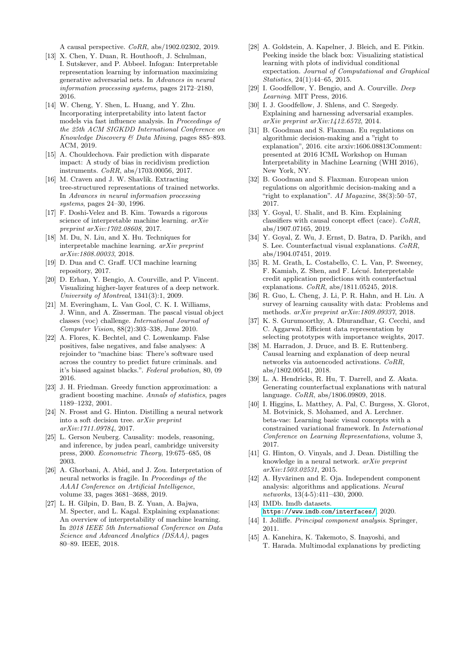A causal perspective. CoRR, abs/1902.02302, 2019.

- <span id="page-12-11"></span>[13] X. Chen, Y. Duan, R. Houthooft, J. Schulman, I. Sutskever, and P. Abbeel. Infogan: Interpretable representation learning by information maximizing generative adversarial nets. In Advances in neural information processing systems, pages 2172–2180, 2016.
- <span id="page-12-15"></span>[14] W. Cheng, Y. Shen, L. Huang, and Y. Zhu. Incorporating interpretability into latent factor models via fast influence analysis. In Proceedings of the 25th ACM SIGKDD International Conference on Knowledge Discovery & Data Mining, pages 885–893. ACM, 2019.
- <span id="page-12-28"></span>[15] A. Chouldechova. Fair prediction with disparate impact: A study of bias in recidivism prediction instruments. CoRR, abs/1703.00056, 2017.
- <span id="page-12-17"></span>[16] M. Craven and J. W. Shavlik. Extracting tree-structured representations of trained networks. In Advances in neural information processing systems, pages 24–30, 1996.
- <span id="page-12-5"></span>[17] F. Doshi-Velez and B. Kim. Towards a rigorous science of interpretable machine learning. arXiv preprint arXiv:1702.08608, 2017.
- <span id="page-12-7"></span>[18] M. Du, N. Liu, and X. Hu. Techniques for interpretable machine learning. arXiv preprint arXiv:1808.00033, 2018.
- <span id="page-12-31"></span>[19] D. Dua and C. Graff. UCI machine learning repository, 2017.
- <span id="page-12-16"></span>[20] D. Erhan, Y. Bengio, A. Courville, and P. Vincent. Visualizing higher-layer features of a deep network. University of Montreal, 1341(3):1, 2009.
- <span id="page-12-29"></span>[21] M. Everingham, L. Van Gool, C. K. I. Williams, J. Winn, and A. Zisserman. The pascal visual object classes (voc) challenge. International Journal of Computer Vision, 88(2):303–338, June 2010.
- <span id="page-12-32"></span>[22] A. Flores, K. Bechtel, and C. Lowenkamp. False positives, false negatives, and false analyses: A rejoinder to "machine bias: There's software used across the country to predict future criminals. and it's biased against blacks.". Federal probation, 80, 09 2016.
- <span id="page-12-21"></span>[23] J. H. Friedman. Greedy function approximation: a gradient boosting machine. Annals of statistics, pages 1189–1232, 2001.
- <span id="page-12-19"></span>[24] N. Frosst and G. Hinton. Distilling a neural network into a soft decision tree. arXiv preprint arXiv:1711.09784, 2017.
- <span id="page-12-2"></span>[25] L. Gerson Neuberg. Causality: models, reasoning, and inference, by judea pearl, cambridge university press, 2000. Econometric Theory, 19:675–685, 08 2003.
- <span id="page-12-13"></span>[26] A. Ghorbani, A. Abid, and J. Zou. Interpretation of neural networks is fragile. In Proceedings of the AAAI Conference on Artificial Intelligence, volume 33, pages 3681–3688, 2019.
- <span id="page-12-6"></span>[27] L. H. Gilpin, D. Bau, B. Z. Yuan, A. Bajwa, M. Specter, and L. Kagal. Explaining explanations: An overview of interpretability of machine learning. In 2018 IEEE 5th International Conference on Data Science and Advanced Analytics (DSAA), pages 80–89. IEEE, 2018.
- <span id="page-12-22"></span>[28] A. Goldstein, A. Kapelner, J. Bleich, and E. Pitkin. Peeking inside the black box: Visualizing statistical learning with plots of individual conditional expectation. Journal of Computational and Graphical Statistics, 24(1):44–65, 2015.
- <span id="page-12-8"></span>[29] I. Goodfellow, Y. Bengio, and A. Courville. Deep Learning. MIT Press, 2016.
- <span id="page-12-1"></span>[30] I. J. Goodfellow, J. Shlens, and C. Szegedy. Explaining and harnessing adversarial examples. arXiv preprint arXiv:1412.6572, 2014.
- <span id="page-12-27"></span>[31] B. Goodman and S. Flaxman. Eu regulations on algorithmic decision-making and a "right to explanation", 2016. cite arxiv:1606.08813Comment: presented at 2016 ICML Workshop on Human Interpretability in Machine Learning (WHI 2016), New York, NY.
- <span id="page-12-0"></span>[32] B. Goodman and S. Flaxman. European union regulations on algorithmic decision-making and a "right to explanation". AI Magazine, 38(3):50–57, 2017.
- <span id="page-12-24"></span>[33] Y. Goyal, U. Shalit, and B. Kim. Explaining classifiers with causal concept effect (cace). CoRR, abs/1907.07165, 2019.
- <span id="page-12-3"></span>[34] Y. Goyal, Z. Wu, J. Ernst, D. Batra, D. Parikh, and S. Lee. Counterfactual visual explanations. CoRR, abs/1904.07451, 2019.
- <span id="page-12-23"></span>[35] R. M. Grath, L. Costabello, C. L. Van, P. Sweeney, F. Kamiab, Z. Shen, and F. Lécué. Interpretable credit application predictions with counterfactual explanations. CoRR, abs/1811.05245, 2018.
- <span id="page-12-20"></span>[36] R. Guo, L. Cheng, J. Li, P. R. Hahn, and H. Liu. A survey of learning causality with data: Problems and methods. arXiv preprint arXiv:1809.09337, 2018.
- <span id="page-12-14"></span>[37] K. S. Gurumoorthy, A. Dhurandhar, G. Cecchi, and C. Aggarwal. Efficient data representation by selecting prototypes with importance weights, 2017.
- <span id="page-12-4"></span>[38] M. Harradon, J. Druce, and B. E. Ruttenberg. Causal learning and explanation of deep neural networks via autoencoded activations. CoRR, abs/1802.00541, 2018.
- <span id="page-12-26"></span>[39] L. A. Hendricks, R. Hu, T. Darrell, and Z. Akata. Generating counterfactual explanations with natural language. CoRR, abs/1806.09809, 2018.
- <span id="page-12-12"></span>[40] I. Higgins, L. Matthey, A. Pal, C. Burgess, X. Glorot, M. Botvinick, S. Mohamed, and A. Lerchner. beta-vae: Learning basic visual concepts with a constrained variational framework. In International Conference on Learning Representations, volume 3, 2017.
- <span id="page-12-18"></span>[41] G. Hinton, O. Vinyals, and J. Dean. Distilling the knowledge in a neural network. arXiv preprint arXiv:1503.02531, 2015.
- <span id="page-12-10"></span>[42] A. Hyvärinen and E. Oja. Independent component analysis: algorithms and applications. Neural networks, 13(4-5):411–430, 2000.
- <span id="page-12-30"></span>[43] IMDb. Imdb datasets. https://www.imdb.[com/interfaces/](https://www.imdb.com/interfaces/), 2020.
- <span id="page-12-9"></span>[44] I. Jolliffe. Principal component analysis. Springer, 2011.
- <span id="page-12-25"></span>[45] A. Kanehira, K. Takemoto, S. Inayoshi, and T. Harada. Multimodal explanations by predicting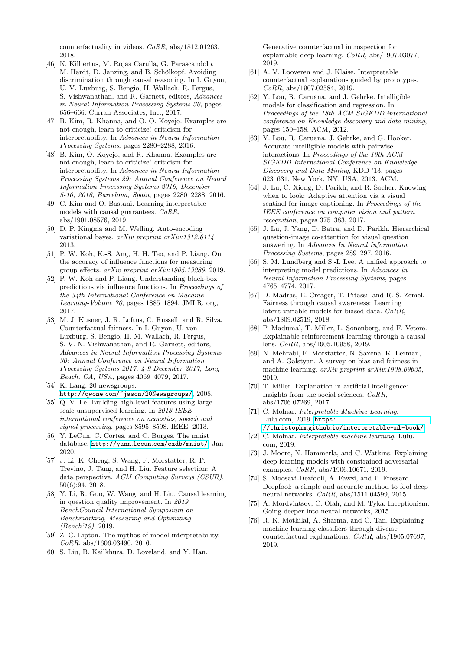counterfactuality in videos. CoRR, abs/1812.01263, 2018.

- <span id="page-13-24"></span>[46] N. Kilbertus, M. Rojas Carulla, G. Parascandolo, M. Hardt, D. Janzing, and B. Schölkopf. Avoiding discrimination through causal reasoning. In I. Guyon, U. V. Luxburg, S. Bengio, H. Wallach, R. Fergus, S. Vishwanathan, and R. Garnett, editors, Advances in Neural Information Processing Systems 30, pages 656–666. Curran Associates, Inc., 2017.
- <span id="page-13-3"></span>[47] B. Kim, R. Khanna, and O. O. Koyejo. Examples are not enough, learn to criticize! criticism for interpretability. In Advances in Neural Information Processing Systems, pages 2280–2288, 2016.
- <span id="page-13-6"></span>[48] B. Kim, O. Koyejo, and R. Khanna. Examples are not enough, learn to criticize! criticism for interpretability. In Advances in Neural Information Processing Systems 29: Annual Conference on Neural Information Processing Systems 2016, December 5-10, 2016, Barcelona, Spain, pages 2280–2288, 2016.
- <span id="page-13-26"></span>[49] C. Kim and O. Bastani. Learning interpretable models with causal guarantees. CoRR, abs/1901.08576, 2019.
- <span id="page-13-11"></span>[50] D. P. Kingma and M. Welling. Auto-encoding variational bayes. arXiv preprint arXiv:1312.6114, 2013.
- <span id="page-13-14"></span>[51] P. W. Koh, K.-S. Ang, H. H. Teo, and P. Liang. On the accuracy of influence functions for measuring group effects. arXiv preprint arXiv:1905.13289, 2019.
- <span id="page-13-13"></span>[52] P. W. Koh and P. Liang. Understanding black-box predictions via influence functions. In Proceedings of the 34th International Conference on Machine Learning-Volume 70, pages 1885–1894. JMLR. org, 2017.
- <span id="page-13-23"></span>[53] M. J. Kusner, J. R. Loftus, C. Russell, and R. Silva. Counterfactual fairness. In I. Guyon, U. von Luxburg, S. Bengio, H. M. Wallach, R. Fergus, S. V. N. Vishwanathan, and R. Garnett, editors, Advances in Neural Information Processing Systems 30: Annual Conference on Neural Information Processing Systems 2017, 4-9 December 2017, Long Beach, CA, USA, pages 4069–4079, 2017.
- <span id="page-13-28"></span>[54] K. Lang. 20 newsgroups. http://qwone.[com/~jason/20Newsgroups/](http://qwone.com/~jason/20Newsgroups/), 2008.
- <span id="page-13-15"></span>[55] Q. V. Le. Building high-level features using large scale unsupervised learning. In 2013 IEEE international conference on acoustics, speech and signal processing, pages 8595–8598. IEEE, 2013.
- <span id="page-13-27"></span>[56] Y. LeCun, C. Cortes, and C. Burges. The mnist database. http://yann.lecun.[com/exdb/mnist/](http://yann.lecun.com/exdb/mnist/), Jan 2020.
- <span id="page-13-8"></span>[57] J. Li, K. Cheng, S. Wang, F. Morstatter, R. P. Trevino, J. Tang, and H. Liu. Feature selection: A data perspective. ACM Computing Surveys (CSUR), 50(6):94, 2018.
- <span id="page-13-29"></span>[58] Y. Li, R. Guo, W. Wang, and H. Liu. Causal learning in question quality improvement. In 2019 BenchCouncil International Symposium on Benchmarking, Measuring and Optimizing (Bench'19), 2019.
- <span id="page-13-7"></span>[59] Z. C. Lipton. The mythos of model interpretability. CoRR, abs/1606.03490, 2016.
- <span id="page-13-20"></span>[60] S. Liu, B. Kailkhura, D. Loveland, and Y. Han.

Generative counterfactual introspection for explainable deep learning. CoRR, abs/1907.03077, 2019.

- <span id="page-13-22"></span>[61] A. V. Looveren and J. Klaise. Interpretable counterfactual explanations guided by prototypes. CoRR, abs/1907.02584, 2019.
- <span id="page-13-16"></span>[62] Y. Lou, R. Caruana, and J. Gehrke. Intelligible models for classification and regression. In Proceedings of the 18th ACM SIGKDD international conference on Knowledge discovery and data mining, pages 150–158. ACM, 2012.
- <span id="page-13-17"></span>[63] Y. Lou, R. Caruana, J. Gehrke, and G. Hooker. Accurate intelligible models with pairwise interactions. In Proceedings of the 19th ACM SIGKDD International Conference on Knowledge Discovery and Data Mining, KDD '13, pages 623–631, New York, NY, USA, 2013. ACM.
- <span id="page-13-9"></span>[64] J. Lu, C. Xiong, D. Parikh, and R. Socher. Knowing when to look: Adaptive attention via a visual sentinel for image captioning. In Proceedings of the IEEE conference on computer vision and pattern recognition, pages 375–383, 2017.
- <span id="page-13-10"></span>[65] J. Lu, J. Yang, D. Batra, and D. Parikh. Hierarchical question-image co-attention for visual question answering. In Advances In Neural Information Processing Systems, pages 289–297, 2016.
- <span id="page-13-12"></span>[66] S. M. Lundberg and S.-I. Lee. A unified approach to interpreting model predictions. In Advances in Neural Information Processing Systems, pages 4765–4774, 2017.
- <span id="page-13-25"></span>[67] D. Madras, E. Creager, T. Pitassi, and R. S. Zemel. Fairness through causal awareness: Learning latent-variable models for biased data. CoRR, abs/1809.02519, 2018.
- <span id="page-13-18"></span>[68] P. Madumal, T. Miller, L. Sonenberg, and F. Vetere. Explainable reinforcement learning through a causal lens. CoRR, abs/1905.10958, 2019.
- <span id="page-13-0"></span>[69] N. Mehrabi, F. Morstatter, N. Saxena, K. Lerman, and A. Galstyan. A survey on bias and fairness in machine learning. arXiv preprint arXiv:1908.09635, 2019.
- <span id="page-13-5"></span>[70] T. Miller. Explanation in artificial intelligence: Insights from the social sciences. CoRR, abs/1706.07269, 2017.
- <span id="page-13-19"></span>[71] C. Molnar. Interpretable Machine Learning. Lulu.com, 2019. [https:](https://christophm.github.io/interpretable-ml-book/) //christophm.github.[io/interpretable-ml-book/](https://christophm.github.io/interpretable-ml-book/).
- <span id="page-13-30"></span>[72] C. Molnar. Interpretable machine learning. Lulu. com, 2019.
- <span id="page-13-21"></span>[73] J. Moore, N. Hammerla, and C. Watkins. Explaining deep learning models with constrained adversarial examples. CoRR, abs/1906.10671, 2019.
- <span id="page-13-1"></span>[74] S. Moosavi-Dezfooli, A. Fawzi, and P. Frossard. Deepfool: a simple and accurate method to fool deep neural networks. CoRR, abs/1511.04599, 2015.
- <span id="page-13-2"></span>[75] A. Mordvintsev, C. Olah, and M. Tyka. Inceptionism: Going deeper into neural networks, 2015.
- <span id="page-13-4"></span>[76] R. K. Mothilal, A. Sharma, and C. Tan. Explaining machine learning classifiers through diverse counterfactual explanations. CoRR, abs/1905.07697, 2019.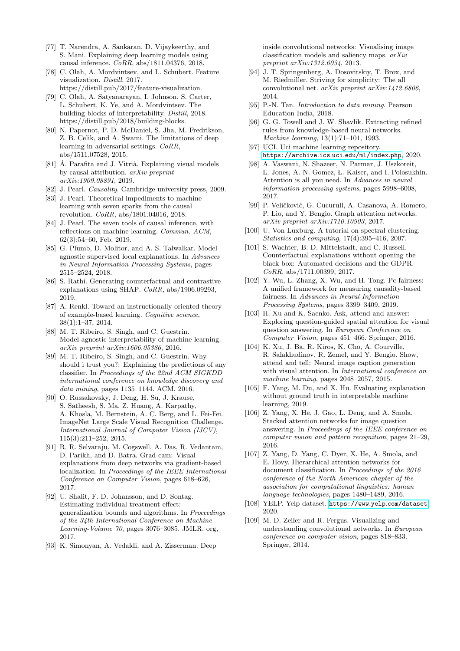- <span id="page-14-3"></span>[77] T. Narendra, A. Sankaran, D. Vijaykeerthy, and S. Mani. Explaining deep learning models using causal inference. CoRR, abs/1811.04376, 2018.
- <span id="page-14-19"></span>[78] C. Olah, A. Mordvintsev, and L. Schubert. Feature visualization. Distill, 2017. https://distill.pub/2017/feature-visualization.
- <span id="page-14-18"></span>[79] C. Olah, A. Satyanarayan, I. Johnson, S. Carter, L. Schubert, K. Ye, and A. Mordvintsev. The building blocks of interpretability. Distill, 2018. https://distill.pub/2018/building-blocks.
- <span id="page-14-0"></span>[80] N. Papernot, P. D. McDaniel, S. Jha, M. Fredrikson, Z. B. Celik, and A. Swami. The limitations of deep learning in adversarial settings. CoRR, abs/1511.07528, 2015.
- <span id="page-14-23"></span>[81]  $\acute{A}$ . Parafita and J. Vitrià. Explaining visual models by causal attribution. arXiv preprint arXiv:1909.08891, 2019.
- <span id="page-14-21"></span>[82] J. Pearl. Causality. Cambridge university press, 2009.
- <span id="page-14-22"></span>[83] J. Pearl. Theoretical impediments to machine learning with seven sparks from the causal revolution. CoRR, abs/1801.04016, 2018.
- <span id="page-14-4"></span>[84] J. Pearl. The seven tools of causal inference, with reflections on machine learning. Commun. ACM, 62(3):54–60, Feb. 2019.
- <span id="page-14-2"></span>[85] G. Plumb, D. Molitor, and A. S. Talwalkar. Model agnostic supervised local explanations. In Advances in Neural Information Processing Systems, pages 2515–2524, 2018.
- <span id="page-14-25"></span>[86] S. Rathi. Generating counterfactual and contrastive explanations using SHAP. CoRR, abs/1906.09293, 2019.
- <span id="page-14-17"></span>[87] A. Renkl. Toward an instructionally oriented theory of example-based learning. Cognitive science, 38(1):1–37, 2014.
- <span id="page-14-28"></span>[88] M. T. Ribeiro, S. Singh, and C. Guestrin. Model-agnostic interpretability of machine learning. arXiv preprint arXiv:1606.05386, 2016.
- <span id="page-14-6"></span>[89] M. T. Ribeiro, S. Singh, and C. Guestrin. Why should i trust you?: Explaining the predictions of any classifier. In Proceedings of the 22nd ACM SIGKDD international conference on knowledge discovery and data mining, pages 1135–1144. ACM, 2016.
- <span id="page-14-29"></span>[90] O. Russakovsky, J. Deng, H. Su, J. Krause, S. Satheesh, S. Ma, Z. Huang, A. Karpathy, A. Khosla, M. Bernstein, A. C. Berg, and L. Fei-Fei. ImageNet Large Scale Visual Recognition Challenge. International Journal of Computer Vision (IJCV), 115(3):211–252, 2015.
- <span id="page-14-16"></span>[91] R. R. Selvaraju, M. Cogswell, A. Das, R. Vedantam, D. Parikh, and D. Batra. Grad-cam: Visual explanations from deep networks via gradient-based localization. In Proceedings of the IEEE International Conference on Computer Vision, pages 618–626, 2017.
- <span id="page-14-27"></span>[92] U. Shalit, F. D. Johansson, and D. Sontag. Estimating individual treatment effect: generalization bounds and algorithms. In Proceedings of the 34th International Conference on Machine Learning-Volume 70, pages 3076–3085. JMLR. org, 2017.
- <span id="page-14-13"></span>[93] K. Simonyan, A. Vedaldi, and A. Zisserman. Deep

inside convolutional networks: Visualising image classification models and saliency maps. arXiv preprint arXiv:1312.6034, 2013.

- <span id="page-14-15"></span>[94] J. T. Springenberg, A. Dosovitskiy, T. Brox, and M. Riedmiller. Striving for simplicity: The all convolutional net. arXiv preprint arXiv:1412.6806, 2014.
- <span id="page-14-5"></span>[95] P.-N. Tan. Introduction to data mining. Pearson Education India, 2018.
- <span id="page-14-20"></span>[96] G. G. Towell and J. W. Shavlik. Extracting refined rules from knowledge-based neural networks. Machine learning, 13(1):71–101, 1993.
- <span id="page-14-31"></span>[97] UCI. Uci machine learning repository. [https://archive](https://archive.ics.uci.edu/ml/index.php).ics.uci.edu/ml/index.php, 2020.
- <span id="page-14-8"></span>[98] A. Vaswani, N. Shazeer, N. Parmar, J. Uszkoreit, L. Jones, A. N. Gomez, L. Kaiser, and I. Polosukhin. Attention is all you need. In Advances in neural information processing systems, pages 5998–6008, 2017.
- <span id="page-14-7"></span>[99] P. Veličković, G. Cucurull, A. Casanova, A. Romero, P. Lio, and Y. Bengio. Graph attention networks. arXiv preprint arXiv:1710.10903, 2017.
- <span id="page-14-12"></span>[100] U. Von Luxburg. A tutorial on spectral clustering. Statistics and computing, 17(4):395–416, 2007.
- <span id="page-14-24"></span>[101] S. Wachter, B. D. Mittelstadt, and C. Russell. Counterfactual explanations without opening the black box: Automated decisions and the GDPR. CoRR, abs/1711.00399, 2017.
- <span id="page-14-26"></span>[102] Y. Wu, L. Zhang, X. Wu, and H. Tong. Pc-fairness: A unified framework for measuring causality-based fairness. In Advances in Neural Information Processing Systems, pages 3399–3409, 2019.
- <span id="page-14-10"></span>[103] H. Xu and K. Saenko. Ask, attend and answer: Exploring question-guided spatial attention for visual question answering. In European Conference on Computer Vision, pages 451–466. Springer, 2016.
- <span id="page-14-9"></span>[104] K. Xu, J. Ba, R. Kiros, K. Cho, A. Courville, R. Salakhudinov, R. Zemel, and Y. Bengio. Show, attend and tell: Neural image caption generation with visual attention. In International conference on machine learning, pages 2048–2057, 2015.
- <span id="page-14-32"></span>[105] F. Yang, M. Du, and X. Hu. Evaluating explanation without ground truth in interpretable machine learning, 2019.
- <span id="page-14-11"></span>[106] Z. Yang, X. He, J. Gao, L. Deng, and A. Smola. Stacked attention networks for image question answering. In Proceedings of the IEEE conference on computer vision and pattern recognition, pages 21–29, 2016.
- <span id="page-14-1"></span>[107] Z. Yang, D. Yang, C. Dyer, X. He, A. Smola, and E. Hovy. Hierarchical attention networks for document classification. In Proceedings of the 2016 conference of the North American chapter of the association for computational linguistics: human language technologies, pages 1480–1489, 2016.
- <span id="page-14-30"></span>[108] YELP. Yelp dataset. [https://www](https://www.yelp.com/dataset).yelp.com/dataset, 2020.
- <span id="page-14-14"></span>[109] M. D. Zeiler and R. Fergus. Visualizing and understanding convolutional networks. In European conference on computer vision, pages 818–833. Springer, 2014.